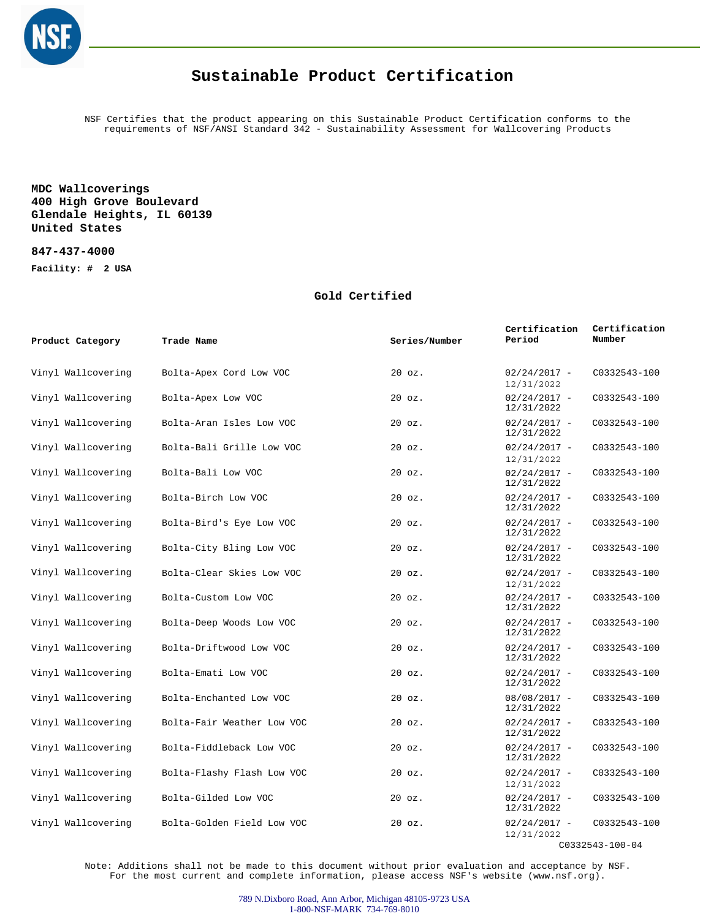

NSF Certifies that the product appearing on this Sustainable Product Certification conforms to the requirements of NSF/ANSI Standard 342 - Sustainability Assessment for Wallcovering Products

**MDC Wallcoverings 400 High Grove Boulevard Glendale Heights, IL 60139 United States**

**847-437-4000**

**Facility: # 2 USA**

#### **Gold Certified**

| Product Category   | Trade Name                 | Series/Number | Certification<br>Period      | Certification<br>Number |
|--------------------|----------------------------|---------------|------------------------------|-------------------------|
| Vinyl Wallcovering | Bolta-Apex Cord Low VOC    | $20$ $oz.$    | $02/24/2017 -$<br>12/31/2022 | C0332543-100            |
| Vinyl Wallcovering | Bolta-Apex Low VOC         | $20$ $oz.$    | $02/24/2017 -$<br>12/31/2022 | C0332543-100            |
| Vinyl Wallcovering | Bolta-Aran Isles Low VOC   | $20$ $oz.$    | $02/24/2017 -$<br>12/31/2022 | C0332543-100            |
| Vinyl Wallcovering | Bolta-Bali Grille Low VOC  | $20$ $oz.$    | $02/24/2017 -$<br>12/31/2022 | C0332543-100            |
| Vinyl Wallcovering | Bolta-Bali Low VOC         | $20$ $oz.$    | $02/24/2017 -$<br>12/31/2022 | C0332543-100            |
| Vinyl Wallcovering | Bolta-Birch Low VOC        | 20 oz.        | $02/24/2017 -$<br>12/31/2022 | C0332543-100            |
| Vinyl Wallcovering | Bolta-Bird's Eye Low VOC   | $20$ $oz.$    | $02/24/2017 -$<br>12/31/2022 | C0332543-100            |
| Vinyl Wallcovering | Bolta-City Bling Low VOC   | $20$ $oz.$    | $02/24/2017 -$<br>12/31/2022 | C0332543-100            |
| Vinyl Wallcovering | Bolta-Clear Skies Low VOC  | $20$ $oz.$    | $02/24/2017 -$<br>12/31/2022 | C0332543-100            |
| Vinyl Wallcovering | Bolta-Custom Low VOC       | $20$ $oz.$    | $02/24/2017 -$<br>12/31/2022 | C0332543-100            |
| Vinyl Wallcovering | Bolta-Deep Woods Low VOC   | $20$ $oz.$    | $02/24/2017 -$<br>12/31/2022 | C0332543-100            |
| Vinyl Wallcovering | Bolta-Driftwood Low VOC    | 20 oz.        | $02/24/2017 -$<br>12/31/2022 | C0332543-100            |
| Vinyl Wallcovering | Bolta-Emati Low VOC        | $20$ $oz.$    | $02/24/2017 -$<br>12/31/2022 | C0332543-100            |
| Vinyl Wallcovering | Bolta-Enchanted Low VOC    | 20 oz.        | $08/08/2017 -$<br>12/31/2022 | C0332543-100            |
| Vinyl Wallcovering | Bolta-Fair Weather Low VOC | $20$ $oz.$    | $02/24/2017 -$<br>12/31/2022 | C0332543-100            |
| Vinyl Wallcovering | Bolta-Fiddleback Low VOC   | $20$ $oz.$    | $02/24/2017 -$<br>12/31/2022 | C0332543-100            |
| Vinyl Wallcovering | Bolta-Flashy Flash Low VOC | 20 oz.        | $02/24/2017 -$<br>12/31/2022 | C0332543-100            |
| Vinyl Wallcovering | Bolta-Gilded Low VOC       | $20$ $oz.$    | $02/24/2017 -$<br>12/31/2022 | C0332543-100            |
| Vinyl Wallcovering | Bolta-Golden Field Low VOC | $20$ $oz.$    | $02/24/2017 -$<br>12/31/2022 | C0332543-100            |

C0332543-100-04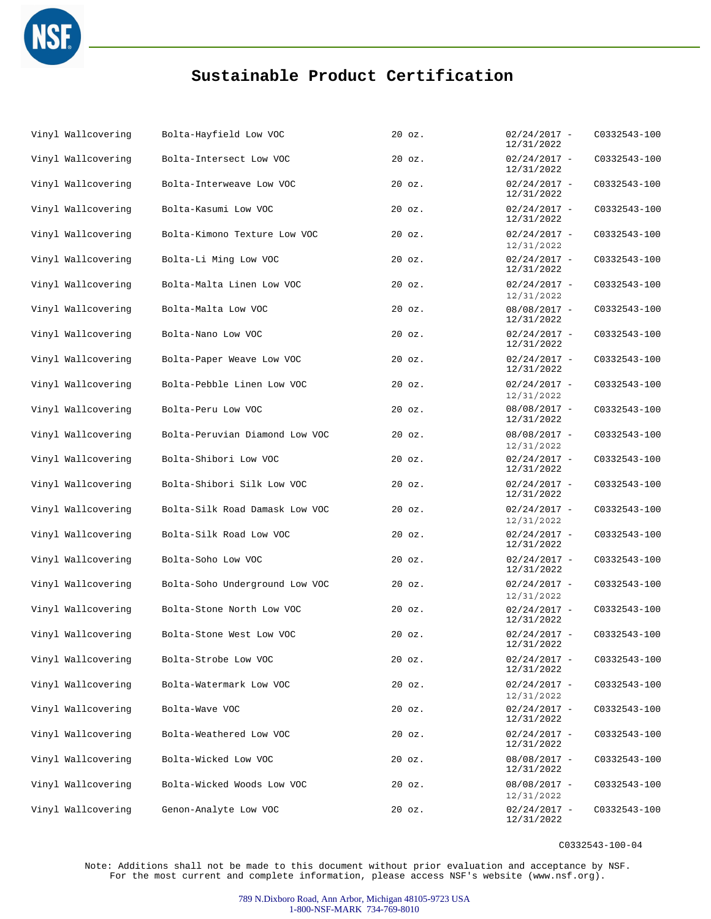

| Vinyl Wallcovering | Bolta-Hayfield Low VOC         | $20$ $oz.$ | $02/24/2017 -$<br>12/31/2022 | C0332543-100 |
|--------------------|--------------------------------|------------|------------------------------|--------------|
| Vinyl Wallcovering | Bolta-Intersect Low VOC        | 20 oz.     | $02/24/2017 -$<br>12/31/2022 | C0332543-100 |
| Vinyl Wallcovering | Bolta-Interweave Low VOC       | $20$ $oz.$ | $02/24/2017 -$<br>12/31/2022 | C0332543-100 |
| Vinyl Wallcovering | Bolta-Kasumi Low VOC           | $20$ $oz.$ | $02/24/2017 -$<br>12/31/2022 | C0332543-100 |
| Vinyl Wallcovering | Bolta-Kimono Texture Low VOC   | $20$ $oz.$ | $02/24/2017 -$<br>12/31/2022 | C0332543-100 |
| Vinyl Wallcovering | Bolta-Li Ming Low VOC          | $20$ $oz.$ | $02/24/2017 -$<br>12/31/2022 | C0332543-100 |
| Vinyl Wallcovering | Bolta-Malta Linen Low VOC      | $20$ $oz.$ | $02/24/2017 -$<br>12/31/2022 | C0332543-100 |
| Vinyl Wallcovering | Bolta-Malta Low VOC            | $20$ $oz.$ | $08/08/2017 -$<br>12/31/2022 | C0332543-100 |
| Vinyl Wallcovering | Bolta-Nano Low VOC             | $20$ $oz.$ | $02/24/2017 -$<br>12/31/2022 | C0332543-100 |
| Vinyl Wallcovering | Bolta-Paper Weave Low VOC      | $20$ $oz.$ | $02/24/2017 -$<br>12/31/2022 | C0332543-100 |
| Vinyl Wallcovering | Bolta-Pebble Linen Low VOC     | $20$ $oz.$ | $02/24/2017 -$<br>12/31/2022 | C0332543-100 |
| Vinyl Wallcovering | Bolta-Peru Low VOC             | $20$ $oz.$ | $08/08/2017 -$<br>12/31/2022 | C0332543-100 |
| Vinyl Wallcovering | Bolta-Peruvian Diamond Low VOC | $20$ $oz.$ | $08/08/2017 -$<br>12/31/2022 | C0332543-100 |
| Vinyl Wallcovering | Bolta-Shibori Low VOC          | $20$ $oz.$ | $02/24/2017 -$<br>12/31/2022 | C0332543-100 |
| Vinyl Wallcovering | Bolta-Shibori Silk Low VOC     | $20$ $oz.$ | $02/24/2017 -$<br>12/31/2022 | C0332543-100 |
| Vinyl Wallcovering | Bolta-Silk Road Damask Low VOC | $20$ $oz.$ | $02/24/2017 -$<br>12/31/2022 | C0332543-100 |
| Vinyl Wallcovering | Bolta-Silk Road Low VOC        | $20$ $oz.$ | $02/24/2017 -$<br>12/31/2022 | C0332543-100 |
| Vinyl Wallcovering | Bolta-Soho Low VOC             | $20$ $oz.$ | $02/24/2017 -$<br>12/31/2022 | C0332543-100 |
| Vinyl Wallcovering | Bolta-Soho Underground Low VOC | $20$ $oz.$ | $02/24/2017 -$<br>12/31/2022 | C0332543-100 |
| Vinyl Wallcovering | Bolta-Stone North Low VOC      | $20$ $oz.$ | $02/24/2017 -$<br>12/31/2022 | C0332543-100 |
| Vinyl Wallcovering | Bolta-Stone West Low VOC       | 20 oz.     | $02/24/2017 -$<br>12/31/2022 | C0332543-100 |
| Vinyl Wallcovering | Bolta-Strobe Low VOC           | $20$ $oz.$ | $02/24/2017 -$<br>12/31/2022 | C0332543-100 |
| Vinyl Wallcovering | Bolta-Watermark Low VOC        | 20 oz.     | $02/24/2017 -$<br>12/31/2022 | C0332543-100 |
| Vinyl Wallcovering | Bolta-Wave VOC                 | $20$ $oz.$ | $02/24/2017 -$<br>12/31/2022 | C0332543-100 |
| Vinyl Wallcovering | Bolta-Weathered Low VOC        | 20 oz.     | $02/24/2017 -$<br>12/31/2022 | C0332543-100 |
| Vinyl Wallcovering | Bolta-Wicked Low VOC           | $20$ $oz.$ | $08/08/2017 -$<br>12/31/2022 | C0332543-100 |
| Vinyl Wallcovering | Bolta-Wicked Woods Low VOC     | $20$ $oz.$ | $08/08/2017 -$<br>12/31/2022 | C0332543-100 |
| Vinyl Wallcovering | Genon-Analyte Low VOC          | $20$ $oz.$ | $02/24/2017 -$<br>12/31/2022 | C0332543-100 |

C0332543-100-04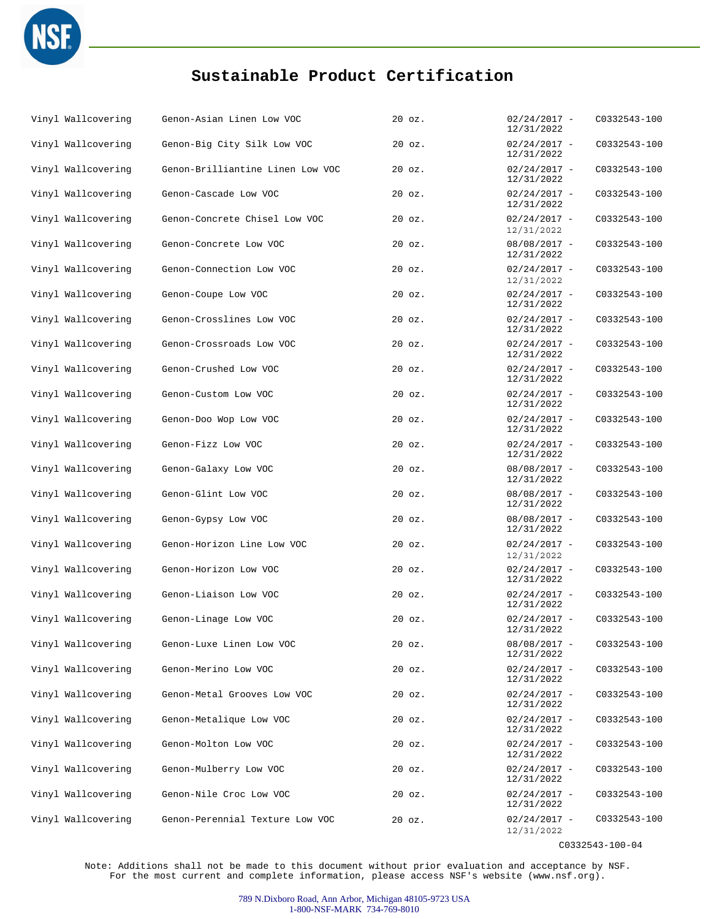

| Vinyl Wallcovering | Genon-Asian Linen Low VOC        | $20$ $oz.$ | $02/24/2017 -$<br>12/31/2022 | C0332543-100 |
|--------------------|----------------------------------|------------|------------------------------|--------------|
| Vinyl Wallcovering | Genon-Big City Silk Low VOC      | $20$ $oz.$ | $02/24/2017 -$<br>12/31/2022 | C0332543-100 |
| Vinyl Wallcovering | Genon-Brilliantine Linen Low VOC | $20$ $oz.$ | $02/24/2017 -$<br>12/31/2022 | C0332543-100 |
| Vinyl Wallcovering | Genon-Cascade Low VOC            | $20$ $oz.$ | $02/24/2017 -$<br>12/31/2022 | C0332543-100 |
| Vinyl Wallcovering | Genon-Concrete Chisel Low VOC    | $20$ $oz.$ | $02/24/2017 -$<br>12/31/2022 | C0332543-100 |
| Vinyl Wallcovering | Genon-Concrete Low VOC           | $20$ $oz.$ | $08/08/2017 -$<br>12/31/2022 | C0332543-100 |
| Vinyl Wallcovering | Genon-Connection Low VOC         | $20$ $oz.$ | $02/24/2017 -$<br>12/31/2022 | C0332543-100 |
| Vinyl Wallcovering | Genon-Coupe Low VOC              | $20$ $oz.$ | $02/24/2017 -$<br>12/31/2022 | C0332543-100 |
| Vinyl Wallcovering | Genon-Crosslines Low VOC         | $20$ $oz.$ | $02/24/2017 -$<br>12/31/2022 | C0332543-100 |
| Vinyl Wallcovering | Genon-Crossroads Low VOC         | $20$ $oz.$ | $02/24/2017 -$<br>12/31/2022 | C0332543-100 |
| Vinyl Wallcovering | Genon-Crushed Low VOC            | $20$ $oz.$ | $02/24/2017 -$<br>12/31/2022 | C0332543-100 |
| Vinyl Wallcovering | Genon-Custom Low VOC             | 20 oz.     | $02/24/2017 -$<br>12/31/2022 | C0332543-100 |
| Vinyl Wallcovering | Genon-Doo Wop Low VOC            | $20$ $oz.$ | $02/24/2017 -$<br>12/31/2022 | C0332543-100 |
| Vinyl Wallcovering | Genon-Fizz Low VOC               | 20 oz.     | $02/24/2017 -$<br>12/31/2022 | C0332543-100 |
| Vinyl Wallcovering | Genon-Galaxy Low VOC             | $20$ $oz.$ | $08/08/2017 -$<br>12/31/2022 | C0332543-100 |
| Vinyl Wallcovering | Genon-Glint Low VOC              | 20 oz.     | $08/08/2017 -$<br>12/31/2022 | C0332543-100 |
| Vinyl Wallcovering | Genon-Gypsy Low VOC              | $20$ $oz.$ | $08/08/2017 -$<br>12/31/2022 | C0332543-100 |
| Vinyl Wallcovering | Genon-Horizon Line Low VOC       | $20$ $oz.$ | $02/24/2017 -$<br>12/31/2022 | C0332543-100 |
| Vinyl Wallcovering | Genon-Horizon Low VOC            | $20$ $oz.$ | $02/24/2017 -$<br>12/31/2022 | C0332543-100 |
| Vinyl Wallcovering | Genon-Liaison Low VOC            | $20$ $oz.$ | $02/24/2017 -$<br>12/31/2022 | C0332543-100 |
| Vinyl Wallcovering | Genon-Linage Low VOC             | $20$ $oz.$ | $02/24/2017 -$<br>12/31/2022 | C0332543-100 |
| Vinyl Wallcovering | Genon-Luxe Linen Low VOC         | 20 oz.     | $08/08/2017 -$<br>12/31/2022 | C0332543-100 |
| Vinyl Wallcovering | Genon-Merino Low VOC             | $20$ $oz.$ | $02/24/2017 -$<br>12/31/2022 | C0332543-100 |
| Vinyl Wallcovering | Genon-Metal Grooves Low VOC      | $20$ $oz.$ | $02/24/2017 -$<br>12/31/2022 | C0332543-100 |
| Vinyl Wallcovering | Genon-Metalique Low VOC          | 20 oz.     | $02/24/2017 -$<br>12/31/2022 | C0332543-100 |
| Vinyl Wallcovering | Genon-Molton Low VOC             | $20$ $oz.$ | $02/24/2017 -$<br>12/31/2022 | C0332543-100 |
| Vinyl Wallcovering | Genon-Mulberry Low VOC           | 20 oz.     | $02/24/2017 -$<br>12/31/2022 | C0332543-100 |
| Vinyl Wallcovering | Genon-Nile Croc Low VOC          | 20 oz.     | $02/24/2017 -$<br>12/31/2022 | C0332543-100 |
| Vinyl Wallcovering | Genon-Perennial Texture Low VOC  | $20$ $oz.$ | $02/24/2017 -$<br>12/31/2022 | C0332543-100 |

C0332543-100-04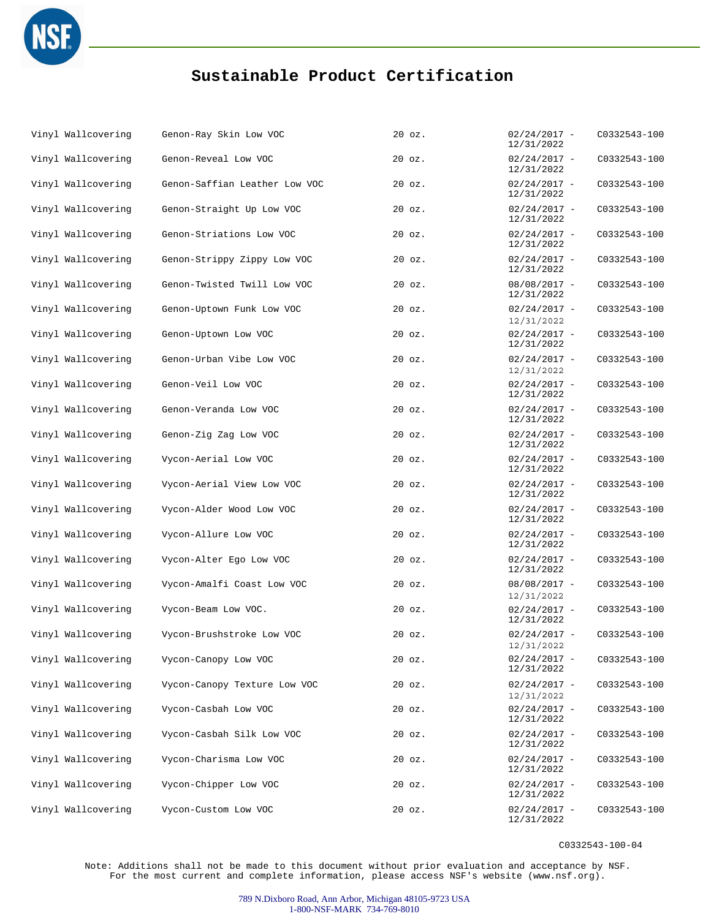

| Vinyl Wallcovering | Genon-Ray Skin Low VOC        | $20$ $oz.$ | $02/24/2017 -$<br>12/31/2022 | C0332543-100 |
|--------------------|-------------------------------|------------|------------------------------|--------------|
| Vinyl Wallcovering | Genon-Reveal Low VOC          | $20$ $oz.$ | $02/24/2017 -$<br>12/31/2022 | C0332543-100 |
| Vinyl Wallcovering | Genon-Saffian Leather Low VOC | $20$ $oz.$ | $02/24/2017 -$<br>12/31/2022 | C0332543-100 |
| Vinyl Wallcovering | Genon-Straight Up Low VOC     | $20$ $oz.$ | $02/24/2017 -$<br>12/31/2022 | C0332543-100 |
| Vinyl Wallcovering | Genon-Striations Low VOC      | $20$ $oz.$ | $02/24/2017 -$<br>12/31/2022 | C0332543-100 |
| Vinyl Wallcovering | Genon-Strippy Zippy Low VOC   | $20$ $oz.$ | $02/24/2017 -$<br>12/31/2022 | C0332543-100 |
| Vinyl Wallcovering | Genon-Twisted Twill Low VOC   | $20$ $oz.$ | $08/08/2017 -$<br>12/31/2022 | C0332543-100 |
| Vinyl Wallcovering | Genon-Uptown Funk Low VOC     | $20$ $oz.$ | $02/24/2017 -$<br>12/31/2022 | C0332543-100 |
| Vinyl Wallcovering | Genon-Uptown Low VOC          | $20$ $oz.$ | $02/24/2017 -$<br>12/31/2022 | C0332543-100 |
| Vinyl Wallcovering | Genon-Urban Vibe Low VOC      | $20$ $oz.$ | $02/24/2017 -$<br>12/31/2022 | C0332543-100 |
| Vinyl Wallcovering | Genon-Veil Low VOC            | 20 oz.     | $02/24/2017 -$<br>12/31/2022 | C0332543-100 |
| Vinyl Wallcovering | Genon-Veranda Low VOC         | $20$ $oz.$ | $02/24/2017 -$<br>12/31/2022 | C0332543-100 |
| Vinyl Wallcovering | Genon-Zig Zag Low VOC         | $20$ $oz.$ | $02/24/2017 -$<br>12/31/2022 | C0332543-100 |
| Vinyl Wallcovering | Vycon-Aerial Low VOC          | $20$ $oz.$ | $02/24/2017 -$<br>12/31/2022 | C0332543-100 |
| Vinyl Wallcovering | Vycon-Aerial View Low VOC     | $20$ $oz.$ | $02/24/2017 -$<br>12/31/2022 | C0332543-100 |
| Vinyl Wallcovering | Vycon-Alder Wood Low VOC      | 20 oz.     | $02/24/2017 -$<br>12/31/2022 | C0332543-100 |
| Vinyl Wallcovering | Vycon-Allure Low VOC          | $20$ $oz.$ | $02/24/2017 -$<br>12/31/2022 | C0332543-100 |
| Vinyl Wallcovering | Vycon-Alter Ego Low VOC       | $20$ $oz.$ | $02/24/2017 -$<br>12/31/2022 | C0332543-100 |
| Vinyl Wallcovering | Vycon-Amalfi Coast Low VOC    | $20$ $oz.$ | $08/08/2017 -$<br>12/31/2022 | C0332543-100 |
| Vinyl Wallcovering | Vycon-Beam Low VOC.           | $20$ $oz.$ | $02/24/2017 -$<br>12/31/2022 | C0332543-100 |
| Vinyl Wallcovering | Vycon-Brushstroke Low VOC     | $20$ $oz.$ | $02/24/2017 -$<br>12/31/2022 | C0332543-100 |
| Vinyl Wallcovering | Vycon-Canopy Low VOC          | $20$ $oz.$ | $02/24/2017 -$<br>12/31/2022 | C0332543-100 |
| Vinyl Wallcovering | Vycon-Canopy Texture Low VOC  | $20$ $oz.$ | $02/24/2017 -$<br>12/31/2022 | C0332543-100 |
| Vinyl Wallcovering | Vycon-Casbah Low VOC          | $20$ $oz.$ | $02/24/2017 -$<br>12/31/2022 | C0332543-100 |
| Vinyl Wallcovering | Vycon-Casbah Silk Low VOC     | $20$ $oz.$ | $02/24/2017 -$<br>12/31/2022 | C0332543-100 |
| Vinyl Wallcovering | Vycon-Charisma Low VOC        | $20$ $oz.$ | $02/24/2017 -$<br>12/31/2022 | C0332543-100 |
| Vinyl Wallcovering | Vycon-Chipper Low VOC         | $20$ $oz.$ | $02/24/2017 -$<br>12/31/2022 | C0332543-100 |
| Vinyl Wallcovering | Vycon-Custom Low VOC          | $20$ $oz.$ | $02/24/2017 -$<br>12/31/2022 | C0332543-100 |

C0332543-100-04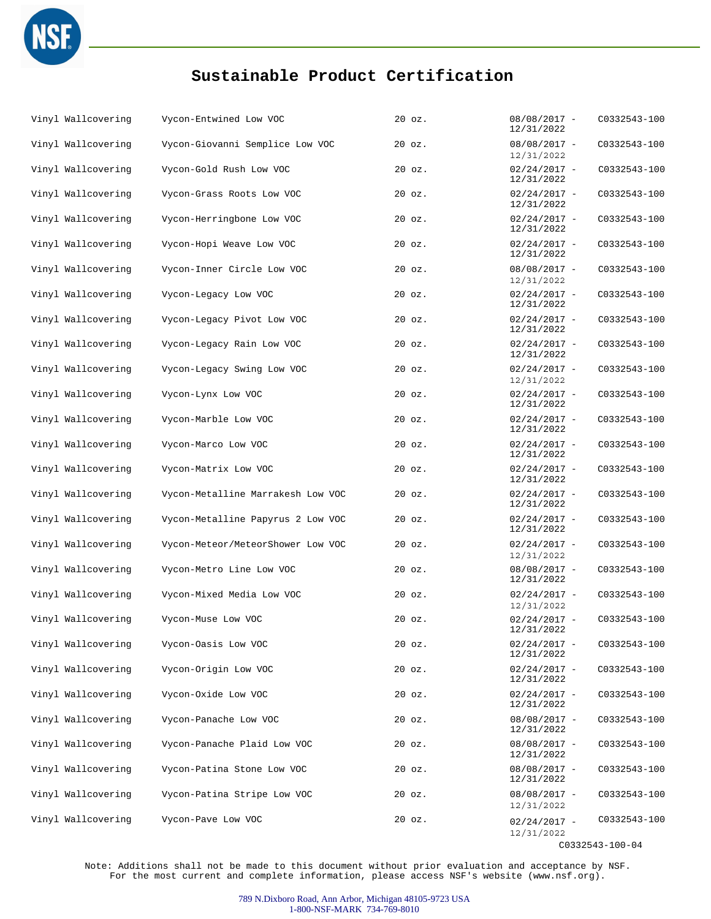

| Vinyl Wallcovering | Vycon-Entwined Low VOC            | $20$ $oz.$ | $08/08/2017 -$<br>12/31/2022 | C0332543-100    |
|--------------------|-----------------------------------|------------|------------------------------|-----------------|
| Vinyl Wallcovering | Vycon-Giovanni Semplice Low VOC   | $20$ $oz.$ | $08/08/2017 -$<br>12/31/2022 | C0332543-100    |
| Vinyl Wallcovering | Vycon-Gold Rush Low VOC           | $20$ $oz.$ | $02/24/2017 -$<br>12/31/2022 | C0332543-100    |
| Vinyl Wallcovering | Vycon-Grass Roots Low VOC         | $20$ $oz.$ | $02/24/2017 -$<br>12/31/2022 | C0332543-100    |
| Vinyl Wallcovering | Vycon-Herringbone Low VOC         | $20$ $oz.$ | $02/24/2017 -$<br>12/31/2022 | C0332543-100    |
| Vinyl Wallcovering | Vycon-Hopi Weave Low VOC          | $20$ $oz.$ | $02/24/2017 -$<br>12/31/2022 | C0332543-100    |
| Vinyl Wallcovering | Vycon-Inner Circle Low VOC        | $20$ $oz.$ | $08/08/2017 -$<br>12/31/2022 | C0332543-100    |
| Vinyl Wallcovering | Vycon-Legacy Low VOC              | $20$ $oz.$ | $02/24/2017 -$<br>12/31/2022 | C0332543-100    |
| Vinyl Wallcovering | Vycon-Legacy Pivot Low VOC        | $20$ $oz.$ | $02/24/2017 -$<br>12/31/2022 | C0332543-100    |
| Vinyl Wallcovering | Vycon-Legacy Rain Low VOC         | $20$ $oz.$ | $02/24/2017 -$<br>12/31/2022 | C0332543-100    |
| Vinyl Wallcovering | Vycon-Legacy Swing Low VOC        | $20$ $oz.$ | $02/24/2017 -$<br>12/31/2022 | C0332543-100    |
| Vinyl Wallcovering | Vycon-Lynx Low VOC                | $20$ $oz.$ | $02/24/2017 -$<br>12/31/2022 | C0332543-100    |
| Vinyl Wallcovering | Vycon-Marble Low VOC              | $20$ $oz.$ | $02/24/2017 -$<br>12/31/2022 | C0332543-100    |
| Vinyl Wallcovering | Vycon-Marco Low VOC               | 20 oz.     | $02/24/2017 -$<br>12/31/2022 | C0332543-100    |
| Vinyl Wallcovering | Vycon-Matrix Low VOC              | $20$ $oz.$ | $02/24/2017 -$<br>12/31/2022 | C0332543-100    |
| Vinyl Wallcovering | Vycon-Metalline Marrakesh Low VOC | $20$ $oz.$ | $02/24/2017 -$<br>12/31/2022 | C0332543-100    |
| Vinyl Wallcovering | Vycon-Metalline Papyrus 2 Low VOC | $20$ $oz.$ | $02/24/2017 -$<br>12/31/2022 | C0332543-100    |
| Vinyl Wallcovering | Vycon-Meteor/MeteorShower Low VOC | $20$ $oz.$ | $02/24/2017 -$<br>12/31/2022 | C0332543-100    |
| Vinyl Wallcovering | Vycon-Metro Line Low VOC          | $20$ $oz.$ | $08/08/2017 -$<br>12/31/2022 | C0332543-100    |
| Vinyl Wallcovering | Vycon-Mixed Media Low VOC         | $20$ $oz.$ | $02/24/2017 -$<br>12/31/2022 | C0332543-100    |
| Vinyl Wallcovering | Vycon-Muse Low VOC                | $20$ $oz.$ | $02/24/2017 -$<br>12/31/2022 | C0332543-100    |
| Vinyl Wallcovering | Vycon-Oasis Low VOC               | $20$ $oz.$ | $02/24/2017 -$<br>12/31/2022 | C0332543-100    |
| Vinyl Wallcovering | Vycon-Origin Low VOC              | $20$ $oz.$ | $02/24/2017 -$<br>12/31/2022 | C0332543-100    |
| Vinyl Wallcovering | Vycon-Oxide Low VOC               | $20$ $oz.$ | $02/24/2017 -$<br>12/31/2022 | C0332543-100    |
| Vinyl Wallcovering | Vycon-Panache Low VOC             | 20 oz.     | $08/08/2017 -$<br>12/31/2022 | C0332543-100    |
| Vinyl Wallcovering | Vycon-Panache Plaid Low VOC       | $20$ $oz.$ | $08/08/2017 -$<br>12/31/2022 | C0332543-100    |
| Vinyl Wallcovering | Vycon-Patina Stone Low VOC        | $20$ $oz.$ | $08/08/2017 -$<br>12/31/2022 | C0332543-100    |
| Vinyl Wallcovering | Vycon-Patina Stripe Low VOC       | $20$ $oz.$ | $08/08/2017 -$<br>12/31/2022 | C0332543-100    |
| Vinyl Wallcovering | Vycon-Pave Low VOC                | $20$ $oz.$ | $02/24/2017 -$<br>12/31/2022 | C0332543-100    |
|                    |                                   |            |                              | C0332543-100-04 |